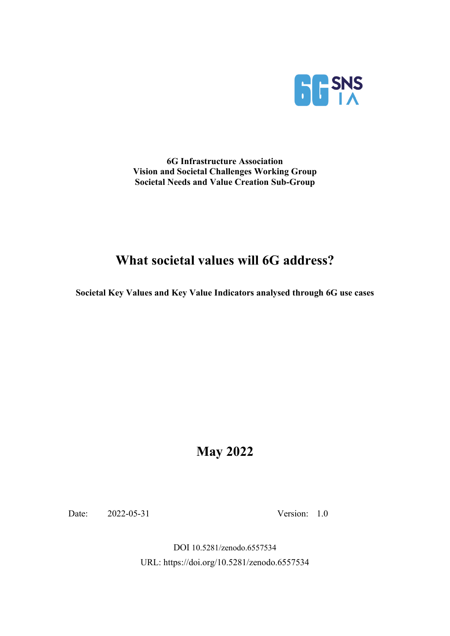

**6G Infrastructure Association Vision and Societal Challenges Working Group Societal Needs and Value Creation Sub-Group**

# **What societal values will 6G address?**

**Societal Key Values and Key Value Indicators analysed through 6G use cases**

# **May 2022**

Date: 2022-05-31 Version: 1.0

DOI 10.5281/zenodo.6557534 URL: https://doi.org/10.5281/zenodo.6557534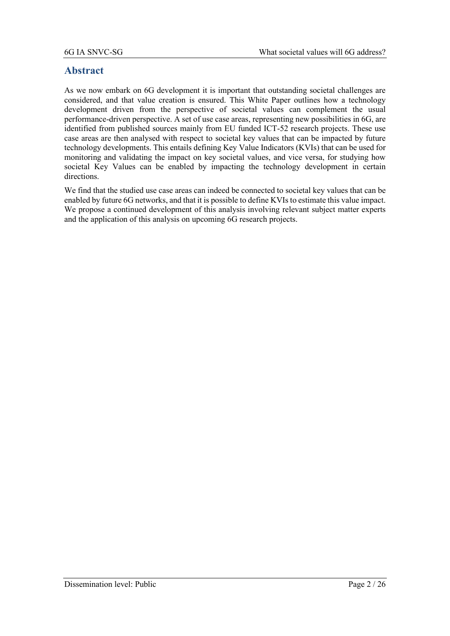#### **Abstract**

As we now embark on 6G development it is important that outstanding societal challenges are considered, and that value creation is ensured. This White Paper outlines how a technology development driven from the perspective of societal values can complement the usual performance-driven perspective. A set of use case areas, representing new possibilities in 6G, are identified from published sources mainly from EU funded ICT-52 research projects. These use case areas are then analysed with respect to societal key values that can be impacted by future technology developments. This entails defining Key Value Indicators (KVIs) that can be used for monitoring and validating the impact on key societal values, and vice versa, for studying how societal Key Values can be enabled by impacting the technology development in certain directions.

We find that the studied use case areas can indeed be connected to societal key values that can be enabled by future 6G networks, and that it is possible to define KVIs to estimate this value impact. We propose a continued development of this analysis involving relevant subject matter experts and the application of this analysis on upcoming 6G research projects.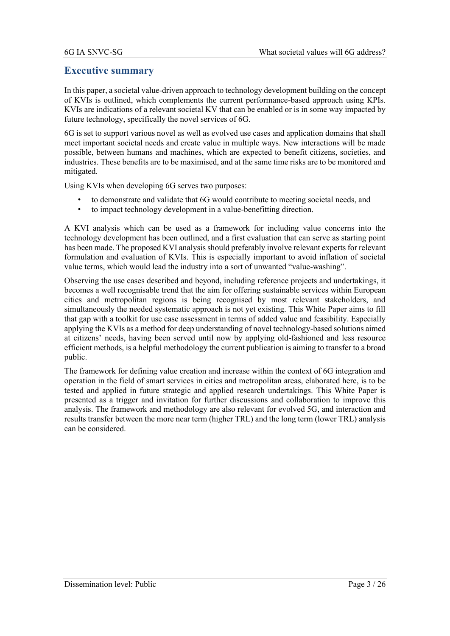#### **Executive summary**

In this paper, a societal value-driven approach to technology development building on the concept of KVIs is outlined, which complements the current performance-based approach using KPIs. KVIs are indications of a relevant societal KV that can be enabled or is in some way impacted by future technology, specifically the novel services of 6G.

6G is set to support various novel as well as evolved use cases and application domains that shall meet important societal needs and create value in multiple ways. New interactions will be made possible, between humans and machines, which are expected to benefit citizens, societies, and industries. These benefits are to be maximised, and at the same time risks are to be monitored and mitigated.

Using KVIs when developing 6G serves two purposes:

- to demonstrate and validate that 6G would contribute to meeting societal needs, and
- to impact technology development in a value-benefitting direction.

A KVI analysis which can be used as a framework for including value concerns into the technology development has been outlined, and a first evaluation that can serve as starting point has been made. The proposed KVI analysis should preferably involve relevant experts for relevant formulation and evaluation of KVIs. This is especially important to avoid inflation of societal value terms, which would lead the industry into a sort of unwanted "value-washing".

Observing the use cases described and beyond, including reference projects and undertakings, it becomes a well recognisable trend that the aim for offering sustainable services within European cities and metropolitan regions is being recognised by most relevant stakeholders, and simultaneously the needed systematic approach is not yet existing. This White Paper aims to fill that gap with a toolkit for use case assessment in terms of added value and feasibility. Especially applying the KVIs as a method for deep understanding of novel technology-based solutions aimed at citizens' needs, having been served until now by applying old-fashioned and less resource efficient methods, is a helpful methodology the current publication is aiming to transfer to a broad public.

The framework for defining value creation and increase within the context of 6G integration and operation in the field of smart services in cities and metropolitan areas, elaborated here, is to be tested and applied in future strategic and applied research undertakings. This White Paper is presented as a trigger and invitation for further discussions and collaboration to improve this analysis. The framework and methodology are also relevant for evolved 5G, and interaction and results transfer between the more near term (higher TRL) and the long term (lower TRL) analysis can be considered.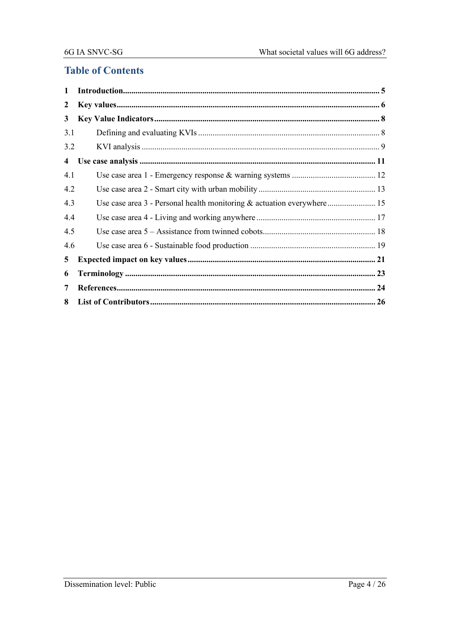### **Table of Contents**

| 1                       |  |
|-------------------------|--|
| 2                       |  |
| 3                       |  |
| 3.1                     |  |
| 3.2                     |  |
| $\overline{\mathbf{4}}$ |  |
| 4.1                     |  |
| 4.2                     |  |
| 4.3                     |  |
| 4.4                     |  |
| 4.5                     |  |
| 4.6                     |  |
| 5                       |  |
| 6                       |  |
| 7                       |  |
| 8                       |  |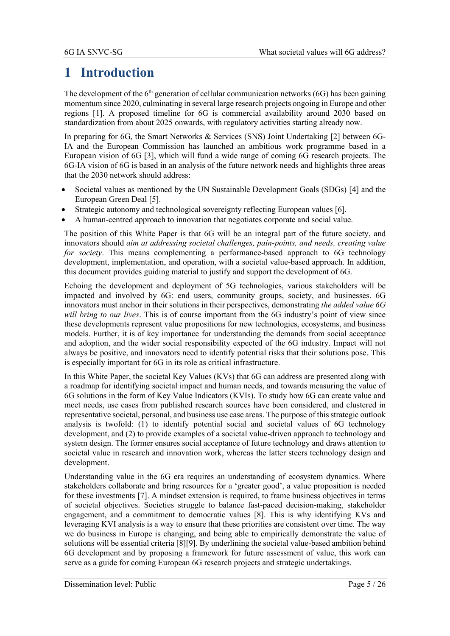# **1 Introduction**

The development of the  $6<sup>th</sup>$  generation of cellular communication networks (6G) has been gaining momentum since 2020, culminating in several large research projects ongoing in Europe and other regions [\[1\].](#page-23-0) A proposed timeline for 6G is commercial availability around 2030 based on standardization from about 2025 onwards, with regulatory activities starting already now.

In preparing for 6G, the Smart Networks & Services (SNS) Joint Undertaking [\[2\]](#page-23-1) between 6G-IA and the European Commission has launched an ambitious work programme based in a European vision of 6G [\[3\],](#page-23-2) which will fund a wide range of coming 6G research projects. The 6G-IA vision of 6G is based in an analysis of the future network needs and highlights three areas that the 2030 network should address:

- Societal values as mentioned by the UN Sustainable Development Goals (SDGs) [\[4\]](#page-23-3) and the European Green Deal [\[5\].](#page-23-4)
- Strategic autonomy and technological sovereignty reflecting European values [\[6\].](#page-23-5)
- A human-centred approach to innovation that negotiates corporate and social value.

The position of this White Paper is that 6G will be an integral part of the future society, and innovators should *aim at addressing societal challenges, pain-points, and needs, creating value for society*. This means complementing a performance-based approach to 6G technology development, implementation, and operation, with a societal value-based approach. In addition, this document provides guiding material to justify and support the development of 6G.

Echoing the development and deployment of 5G technologies, various stakeholders will be impacted and involved by 6G: end users, community groups, society, and businesses. 6G innovators must anchor in their solutions in their perspectives, demonstrating *the added value 6G will bring to our lives*. This is of course important from the 6G industry's point of view since these developments represent value propositions for new technologies, ecosystems, and business models. Further, it is of key importance for understanding the demands from social acceptance and adoption, and the wider social responsibility expected of the 6G industry. Impact will not always be positive, and innovators need to identify potential risks that their solutions pose. This is especially important for 6G in its role as critical infrastructure.

In this White Paper, the societal Key Values (KVs) that 6G can address are presented along with a roadmap for identifying societal impact and human needs, and towards measuring the value of 6G solutions in the form of Key Value Indicators (KVIs). To study how 6G can create value and meet needs, use cases from published research sources have been considered, and clustered in representative societal, personal, and business use case areas. The purpose of this strategic outlook analysis is twofold: (1) to identify potential social and societal values of 6G technology development, and (2) to provide examples of a societal value-driven approach to technology and system design. The former ensures social acceptance of future technology and draws attention to societal value in research and innovation work, whereas the latter steers technology design and development.

Understanding value in the 6G era requires an understanding of ecosystem dynamics. Where stakeholders collaborate and bring resources for a 'greater good', a value proposition is needed for these investments [\[7\].](#page-23-6) A mindset extension is required, to frame business objectives in terms of societal objectives. Societies struggle to balance fast-paced decision-making, stakeholder engagement, and a commitment to democratic values [\[8\].](#page-23-7) This is why identifying KVs and leveraging KVI analysis is a way to ensure that these priorities are consistent over time. The way we do business in Europe is changing, and being able to empirically demonstrate the value of solutions will be essential criteria [\[8\]](#page-23-7)[\[9\].](#page-23-8) By underlining the societal value-based ambition behind 6G development and by proposing a framework for future assessment of value, this work can serve as a guide for coming European 6G research projects and strategic undertakings.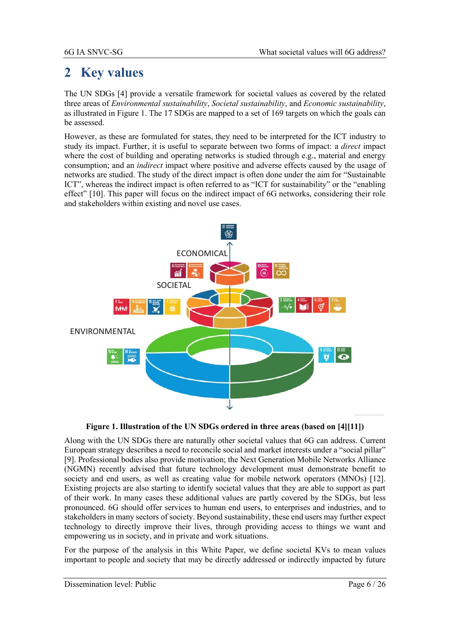# **2 Key values**

The UN SDGs [\[4\]](#page-23-3) provide a versatile framework for societal values as covered by the related three areas of *Environmental sustainability*, *Societal sustainability*, and *Economic sustainability*, as illustrated in [Figure 1.](#page-5-0) The 17 SDGs are mapped to a set of 169 targets on which the goals can be assessed.

However, as these are formulated for states, they need to be interpreted for the ICT industry to study its impact. Further, it is useful to separate between two forms of impact: a *direct* impact where the cost of building and operating networks is studied through e.g., material and energy consumption; and an *indirect* impact where positive and adverse effects caused by the usage of networks are studied. The study of the direct impact is often done under the aim for "Sustainable ICT", whereas the indirect impact is often referred to as "ICT for sustainability" or the "enabling effect" [\[10\].](#page-23-9) This paper will focus on the indirect impact of 6G networks, considering their role and stakeholders within existing and novel use cases.



**Figure 1. Illustration of the UN SDGs ordered in three areas (based on [\[4\]](#page-23-3)[\[11\]\)](#page-23-10)**

<span id="page-5-0"></span>Along with the UN SDGs there are naturally other societal values that 6G can address. Current European strategy describes a need to reconcile social and market interests under a "social pillar" [\[9\].](#page-23-8) Professional bodies also provide motivation; the Next Generation Mobile Networks Alliance (NGMN) recently advised that future technology development must demonstrate benefit to society and end users, as well as creating value for mobile network operators (MNOs) [\[12\].](#page-23-11) Existing projects are also starting to identify societal values that they are able to support as part of their work. In many cases these additional values are partly covered by the SDGs, but less pronounced. 6G should offer services to human end users, to enterprises and industries, and to stakeholders in many sectors of society. Beyond sustainability, these end users may further expect technology to directly improve their lives, through providing access to things we want and empowering us in society, and in private and work situations.

For the purpose of the analysis in this White Paper, we define societal KVs to mean values important to people and society that may be directly addressed or indirectly impacted by future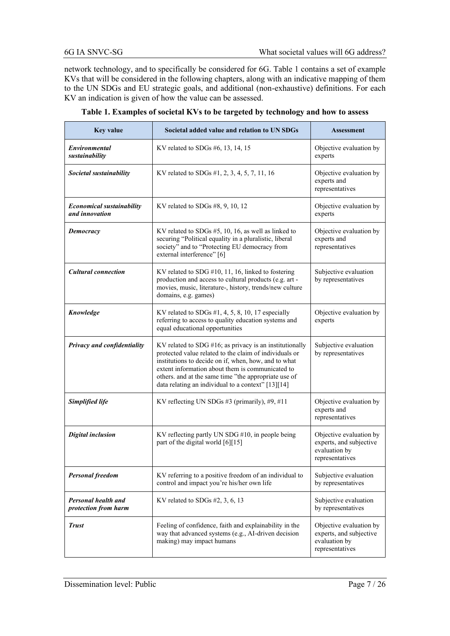network technology, and to specifically be considered for 6G. [Table 1](#page-6-0) contains a set of example KVs that will be considered in the following chapters, along with an indicative mapping of them to the UN SDGs and EU strategic goals, and additional (non-exhaustive) definitions. For each KV an indication is given of how the value can be assessed.

<span id="page-6-0"></span>

| <b>Key value</b>                                                                                                                                                                                                                                                                                                                                                             | Societal added value and relation to UN SDGs                                                                                                                                                       | <b>Assessment</b>                                                                      |
|------------------------------------------------------------------------------------------------------------------------------------------------------------------------------------------------------------------------------------------------------------------------------------------------------------------------------------------------------------------------------|----------------------------------------------------------------------------------------------------------------------------------------------------------------------------------------------------|----------------------------------------------------------------------------------------|
| Environmental<br>sustainability                                                                                                                                                                                                                                                                                                                                              | KV related to SDGs $#6$ , 13, 14, 15                                                                                                                                                               | Objective evaluation by<br>experts                                                     |
| Societal sustainability                                                                                                                                                                                                                                                                                                                                                      | KV related to SDGs #1, 2, 3, 4, 5, 7, 11, 16                                                                                                                                                       | Objective evaluation by<br>experts and<br>representatives                              |
| <b>Economical sustainability</b><br>and innovation                                                                                                                                                                                                                                                                                                                           | KV related to SDGs $#8, 9, 10, 12$                                                                                                                                                                 | Objective evaluation by<br>experts                                                     |
| Democracy                                                                                                                                                                                                                                                                                                                                                                    | KV related to SDGs #5, 10, 16, as well as linked to<br>securing "Political equality in a pluralistic, liberal<br>society" and to "Protecting EU democracy from<br>external interference" [6]       | Objective evaluation by<br>experts and<br>representatives                              |
| <b>Cultural connection</b>                                                                                                                                                                                                                                                                                                                                                   | KV related to SDG $#10$ , 11, 16, linked to fostering<br>production and access to cultural products (e.g. art -<br>movies, music, literature-, history, trends/new culture<br>domains, e.g. games) | Subjective evaluation<br>by representatives                                            |
| Knowledge                                                                                                                                                                                                                                                                                                                                                                    | KV related to SDGs $#1, 4, 5, 8, 10, 17$ especially<br>referring to access to quality education systems and<br>equal educational opportunities                                                     | Objective evaluation by<br>experts                                                     |
| Privacy and confidentiality<br>$KV$ related to SDG #16; as privacy is an institutionally<br>protected value related to the claim of individuals or<br>institutions to decide on if, when, how, and to what<br>extent information about them is communicated to<br>others. and at the same time "the appropriate use of<br>data relating an individual to a context" [13][14] |                                                                                                                                                                                                    | Subjective evaluation<br>by representatives                                            |
| Simplified life                                                                                                                                                                                                                                                                                                                                                              | KV reflecting UN SDGs #3 (primarily), #9, #11                                                                                                                                                      | Objective evaluation by<br>experts and<br>representatives                              |
| <b>Digital inclusion</b><br>KV reflecting partly UN SDG #10, in people being<br>part of the digital world [6][15]                                                                                                                                                                                                                                                            |                                                                                                                                                                                                    | Objective evaluation by<br>experts, and subjective<br>evaluation by<br>representatives |
| <b>Personal freedom</b>                                                                                                                                                                                                                                                                                                                                                      | KV referring to a positive freedom of an individual to<br>control and impact you're his/her own life                                                                                               | Subjective evaluation<br>by representatives                                            |
| Personal health and<br>protection from harm                                                                                                                                                                                                                                                                                                                                  | KV related to SDGs $#2, 3, 6, 13$                                                                                                                                                                  | Subjective evaluation<br>by representatives                                            |
| <b>Trust</b>                                                                                                                                                                                                                                                                                                                                                                 | Feeling of confidence, faith and explainability in the<br>way that advanced systems (e.g., AI-driven decision<br>making) may impact humans                                                         | Objective evaluation by<br>experts, and subjective<br>evaluation by<br>representatives |

**Table 1. Examples of societal KVs to be targeted by technology and how to assess**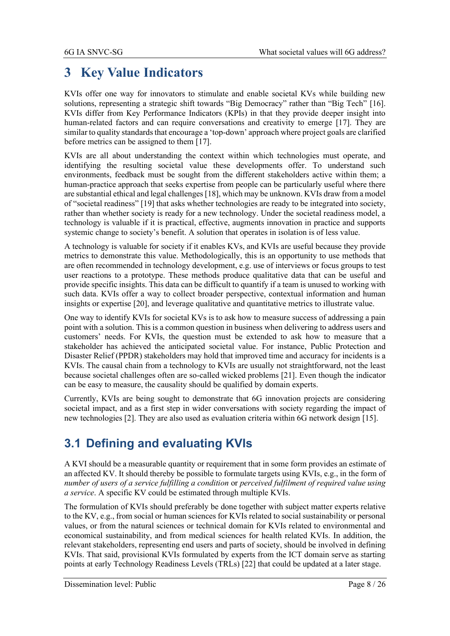# **3 Key Value Indicators**

KVIs offer one way for innovators to stimulate and enable societal KVs while building new solutions, representing a strategic shift towards "Big Democracy" rather than "Big Tech" [\[16\].](#page-23-16) KVIs differ from Key Performance Indicators (KPIs) in that they provide deeper insight into human-related factors and can require conversations and creativity to emerge [\[17\].](#page-23-17) They are similar to quality standards that encourage a 'top-down' approach where project goals are clarified before metrics can be assigned to them [\[17\].](#page-23-17)

KVIs are all about understanding the context within which technologies must operate, and identifying the resulting societal value these developments offer. To understand such environments, feedback must be sought from the different stakeholders active within them; a human-practice approach that seeks expertise from people can be particularly useful where there are substantial ethical and legal challenges [\[18\],](#page-23-18) which may be unknown. KVIs draw from a model of "societal readiness" [\[19\]](#page-23-19) that asks whether technologies are ready to be integrated into society, rather than whether society is ready for a new technology. Under the societal readiness model, a technology is valuable if it is practical, effective, augments innovation in practice and supports systemic change to society's benefit. A solution that operates in isolation is of less value.

A technology is valuable for society if it enables KVs, and KVIs are useful because they provide metrics to demonstrate this value. Methodologically, this is an opportunity to use methods that are often recommended in technology development, e.g. use of interviews or focus groups to test user reactions to a prototype. These methods produce qualitative data that can be useful and provide specific insights. This data can be difficult to quantify if a team is unused to working with such data. KVIs offer a way to collect broader perspective, contextual information and human insights or expertise [\[20\],](#page-23-20) and leverage qualitative and quantitative metrics to illustrate value.

One way to identify KVIs for societal KVs is to ask how to measure success of addressing a pain point with a solution. This is a common question in business when delivering to address users and customers' needs. For KVIs, the question must be extended to ask how to measure that a stakeholder has achieved the anticipated societal value. For instance, Public Protection and Disaster Relief (PPDR) stakeholders may hold that improved time and accuracy for incidents is a KVIs. The causal chain from a technology to KVIs are usually not straightforward, not the least because societal challenges often are so-called wicked problems [\[21\].](#page-23-21) Even though the indicator can be easy to measure, the causality should be qualified by domain experts.

Currently, KVIs are being sought to demonstrate that 6G innovation projects are considering societal impact, and as a first step in wider conversations with society regarding the impact of new technologies [\[2\].](#page-23-1) They are also used as evaluation criteria within 6G network design [\[15\].](#page-23-15)

# **3.1 Defining and evaluating KVIs**

A KVI should be a measurable quantity or requirement that in some form provides an estimate of an affected KV. It should thereby be possible to formulate targets using KVIs, e.g., in the form of *number of users of a service fulfilling a condition* or *perceived fulfilment of required value using a service*. A specific KV could be estimated through multiple KVIs.

The formulation of KVIs should preferably be done together with subject matter experts relative to the KV, e.g., from social or human sciences for KVIs related to social sustainability or personal values, or from the natural sciences or technical domain for KVIs related to environmental and economical sustainability, and from medical sciences for health related KVIs. In addition, the relevant stakeholders, representing end users and parts of society, should be involved in defining KVIs. That said, provisional KVIs formulated by experts from the ICT domain serve as starting points at early Technology Readiness Levels (TRLs) [\[22\]](#page-23-22) that could be updated at a later stage.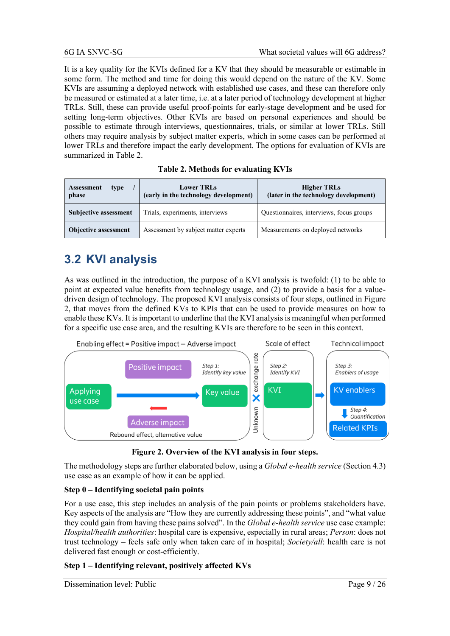It is a key quality for the KVIs defined for a KV that they should be measurable or estimable in some form. The method and time for doing this would depend on the nature of the KV. Some KVIs are assuming a deployed network with established use cases, and these can therefore only be measured or estimated at a later time, i.e. at a later period of technology development at higher TRLs. Still, these can provide useful proof-points for early-stage development and be used for setting long-term objectives. Other KVIs are based on personal experiences and should be possible to estimate through interviews, questionnaires, trials, or similar at lower TRLs. Still others may require analysis by subject matter experts, which in some cases can be performed at lower TRLs and therefore impact the early development. The options for evaluation of KVIs are summarized in [Table 2.](#page-8-0)

<span id="page-8-0"></span>

| <b>Assessment</b><br>type<br>phase | <b>Lower TRLs</b><br>(early in the technology development) | <b>Higher TRLs</b><br>(later in the technology development) |
|------------------------------------|------------------------------------------------------------|-------------------------------------------------------------|
| <b>Subjective assessment</b>       | Trials, experiments, interviews                            | Questionnaires, interviews, focus groups                    |
| <b>Objective assessment</b>        | Assessment by subject matter experts                       | Measurements on deployed networks                           |

#### **Table 2. Methods for evaluating KVIs**

## **3.2 KVI analysis**

As was outlined in the introduction, the purpose of a KVI analysis is twofold: (1) to be able to point at expected value benefits from technology usage, and (2) to provide a basis for a valuedriven design of technology. The proposed KVI analysis consists of four steps, outlined i[n Figure](#page-8-1)  [2,](#page-8-1) that moves from the defined KVs to KPIs that can be used to provide measures on how to enable these KVs. It is important to underline that the KVI analysis is meaningful when performed for a specific use case area, and the resulting KVIs are therefore to be seen in this context.



**Figure 2. Overview of the KVI analysis in four steps.**

<span id="page-8-1"></span>The methodology steps are further elaborated below, using a *Global e-health service* (Section 4.3) use case as an example of how it can be applied.

#### **Step 0 – Identifying societal pain points**

For a use case, this step includes an analysis of the pain points or problems stakeholders have. Key aspects of the analysis are "How they are currently addressing these points", and "what value they could gain from having these pains solved". In the *Global e-health service* use case example: *Hospital/health authorities*: hospital care is expensive, especially in rural areas; *Person*: does not trust technology – feels safe only when taken care of in hospital; *Society/all*: health care is not delivered fast enough or cost-efficiently.

#### **Step 1 – Identifying relevant, positively affected KVs**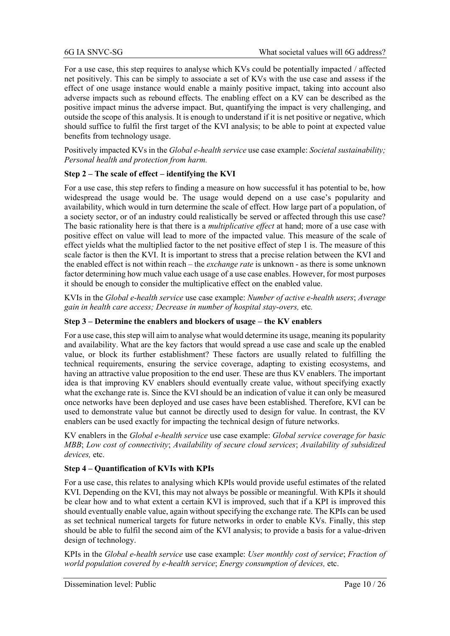For a use case, this step requires to analyse which KVs could be potentially impacted / affected net positively. This can be simply to associate a set of KVs with the use case and assess if the effect of one usage instance would enable a mainly positive impact, taking into account also adverse impacts such as rebound effects. The enabling effect on a KV can be described as the positive impact minus the adverse impact. But, quantifying the impact is very challenging, and outside the scope of this analysis. It is enough to understand if it is net positive or negative, which should suffice to fulfil the first target of the KVI analysis; to be able to point at expected value benefits from technology usage.

Positively impacted KVs in the *Global e-health service* use case example: *Societal sustainability; Personal health and protection from harm.*

#### **Step 2 – The scale of effect – identifying the KVI**

For a use case, this step refers to finding a measure on how successful it has potential to be, how widespread the usage would be. The usage would depend on a use case's popularity and availability, which would in turn determine the scale of effect. How large part of a population, of a society sector, or of an industry could realistically be served or affected through this use case? The basic rationality here is that there is a *multiplicative effect* at hand; more of a use case with positive effect on value will lead to more of the impacted value. This measure of the scale of effect yields what the multiplied factor to the net positive effect of step 1 is. The measure of this scale factor is then the KVI. It is important to stress that a precise relation between the KVI and the enabled effect is not within reach – the *exchange rate* is unknown - as there is some unknown factor determining how much value each usage of a use case enables. However, for most purposes it should be enough to consider the multiplicative effect on the enabled value.

KVIs in the *Global e-health service* use case example: *Number of active e-health users*; *Average gain in health care access; Decrease in number of hospital stay-overs,* etc*.*

#### **Step 3 – Determine the enablers and blockers of usage – the KV enablers**

For a use case, this step will aim to analyse what would determine its usage, meaning its popularity and availability. What are the key factors that would spread a use case and scale up the enabled value, or block its further establishment? These factors are usually related to fulfilling the technical requirements, ensuring the service coverage, adapting to existing ecosystems, and having an attractive value proposition to the end user. These are thus KV enablers. The important idea is that improving KV enablers should eventually create value, without specifying exactly what the exchange rate is. Since the KVI should be an indication of value it can only be measured once networks have been deployed and use cases have been established. Therefore, KVI can be used to demonstrate value but cannot be directly used to design for value. In contrast, the KV enablers can be used exactly for impacting the technical design of future networks.

KV enablers in the *Global e-health service* use case example: *Global service coverage for basic MBB*; *Low cost of connectivity*; *Availability of secure cloud services*; *Availability of subsidized devices,* etc.

#### **Step 4 – Quantification of KVIs with KPIs**

For a use case, this relates to analysing which KPIs would provide useful estimates of the related KVI. Depending on the KVI, this may not always be possible or meaningful. With KPIs it should be clear how and to what extent a certain KVI is improved, such that if a KPI is improved this should eventually enable value, again without specifying the exchange rate. The KPIs can be used as set technical numerical targets for future networks in order to enable KVs. Finally, this step should be able to fulfil the second aim of the KVI analysis; to provide a basis for a value-driven design of technology.

KPIs in the *Global e-health service* use case example: *User monthly cost of service*; *Fraction of world population covered by e-health service*; *Energy consumption of devices,* etc.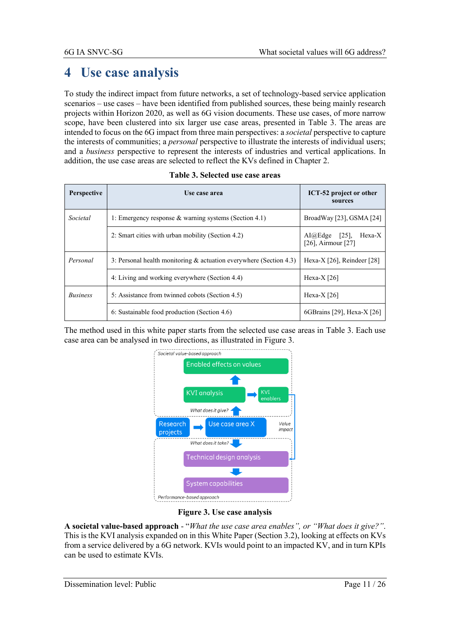# **4 Use case analysis**

To study the indirect impact from future networks, a set of technology-based service application scenarios – use cases – have been identified from published sources, these being mainly research projects within Horizon 2020, as well as 6G vision documents. These use cases, of more narrow scope, have been clustered into six larger use case areas, presented in [Table 3.](#page-10-0) The areas are intended to focus on the 6G impact from three main perspectives: a *societal* perspective to capture the interests of communities; a *personal* perspective to illustrate the interests of individual users; and a *business* perspective to represent the interests of industries and vertical applications. In addition, the use case areas are selected to reflect the KVs defined in Chapter 2.

<span id="page-10-0"></span>

| Perspective     | Use case area                                                         | ICT-52 project or other<br>sources                   |  |
|-----------------|-----------------------------------------------------------------------|------------------------------------------------------|--|
| Societal        | 1: Emergency response & warning systems (Section 4.1)                 | BroadWay [23], GSMA [24]                             |  |
|                 | 2: Smart cities with urban mobility (Section 4.2)                     | $AI@Edge$ [25],<br>Hexa-X<br>$[26]$ , Airmour $[27]$ |  |
| Personal        | 3: Personal health monitoring $\&$ actuation everywhere (Section 4.3) | Hexa-X $[26]$ , Reindeer $[28]$                      |  |
|                 | 4: Living and working everywhere (Section 4.4)                        | Hexa- $X$ [26]                                       |  |
| <i>Business</i> | 5: Assistance from twinned cobots (Section 4.5)                       | Hexa- $X$ [26]                                       |  |
|                 | 6: Sustainable food production (Section 4.6)                          | 6GBrains [29], Hexa-X $[26]$                         |  |

|  | Table 3. Selected use case areas |  |  |  |
|--|----------------------------------|--|--|--|
|--|----------------------------------|--|--|--|

The method used in this white paper starts from the selected use case areas in [Table 3.](#page-10-0) Each use case area can be analysed in two directions, as illustrated i[n Figure 3.](#page-10-1)



#### **Figure 3. Use case analysis**

<span id="page-10-1"></span>**A societal value-based approach** - "*What the use case area enables", or "What does it give?"*. This is the KVI analysis expanded on in this White Paper (Section 3.2), looking at effects on KVs from a service delivered by a 6G network. KVIs would point to an impacted KV, and in turn KPIs can be used to estimate KVIs.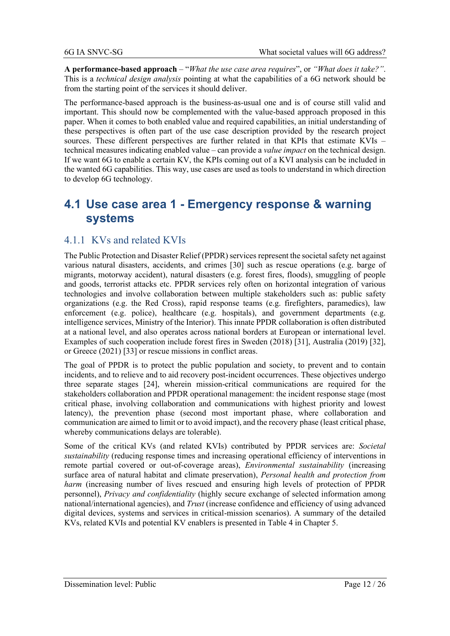**A performance-based approach** – "*What the use case area requires*", or *"What does it take?"*. This is a *technical design analysis* pointing at what the capabilities of a 6G network should be from the starting point of the services it should deliver.

The performance-based approach is the business-as-usual one and is of course still valid and important. This should now be complemented with the value-based approach proposed in this paper. When it comes to both enabled value and required capabilities, an initial understanding of these perspectives is often part of the use case description provided by the research project sources. These different perspectives are further related in that KPIs that estimate KVIs – technical measures indicating enabled value – can provide a *value impact* on the technical design. If we want 6G to enable a certain KV, the KPIs coming out of a KVI analysis can be included in the wanted 6G capabilities. This way, use cases are used as tools to understand in which direction to develop 6G technology.

### **4.1 Use case area 1 - Emergency response & warning systems**

#### 4.1.1 KVs and related KVIs

The Public Protection and Disaster Relief (PPDR) services represent the societal safety net against various natural disasters, accidents, and crimes [\[30\]](#page-24-2) such as rescue operations (e.g. barge of migrants, motorway accident), natural disasters (e.g. forest fires, floods), smuggling of people and goods, terrorist attacks etc. PPDR services rely often on horizontal integration of various technologies and involve collaboration between multiple stakeholders such as: public safety organizations (e.g. the Red Cross), rapid response teams (e.g. firefighters, paramedics), law enforcement (e.g. police), healthcare (e.g. hospitals), and government departments (e.g. intelligence services, Ministry of the Interior). This innate PPDR collaboration is often distributed at a national level, and also operates across national borders at European or international level. Examples of such cooperation include forest fires in Sweden (2018) [\[31\],](#page-24-3) Australia (2019) [\[32\],](#page-24-4) or Greece (2021) [\[33\]](#page-24-5) or rescue missions in conflict areas.

The goal of PPDR is to protect the public population and society, to prevent and to contain incidents, and to relieve and to aid recovery post-incident occurrences. These objectives undergo three separate stages [\[24\],](#page-23-24) wherein mission-critical communications are required for the stakeholders collaboration and PPDR operational management: the incident response stage (most critical phase, involving collaboration and communications with highest priority and lowest latency), the prevention phase (second most important phase, where collaboration and communication are aimed to limit or to avoid impact), and the recovery phase (least critical phase, whereby communications delays are tolerable).

Some of the critical KVs (and related KVIs) contributed by PPDR services are: *Societal sustainability* (reducing response times and increasing operational efficiency of interventions in remote partial covered or out-of-coverage areas), *Environmental sustainability* (increasing surface area of natural habitat and climate preservation), *Personal health and protection from harm* (increasing number of lives rescued and ensuring high levels of protection of PPDR personnel), *Privacy and confidentiality* (highly secure exchange of selected information among national/international agencies), and *Trust* (increase confidence and efficiency of using advanced digital devices, systems and services in critical-mission scenarios). A summary of the detailed KVs, related KVIs and potential KV enablers is presented in [Table 4](#page-20-0) in Chapter 5.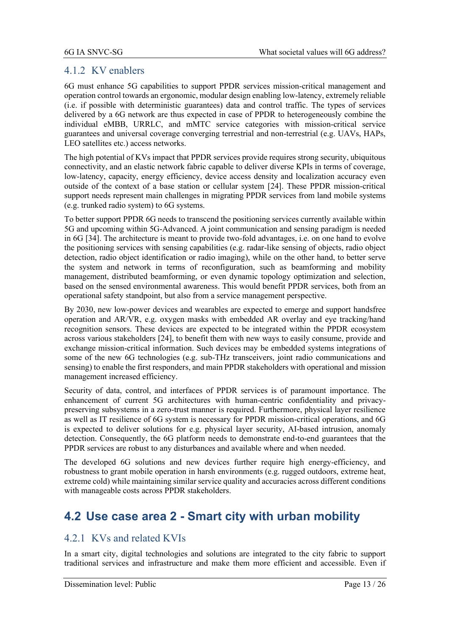### 4.1.2 KV enablers

6G must enhance 5G capabilities to support PPDR services mission-critical management and operation control towards an ergonomic, modular design enabling low-latency, extremely reliable (i.e. if possible with deterministic guarantees) data and control traffic. The types of services delivered by a 6G network are thus expected in case of PPDR to heterogeneously combine the individual eMBB, URRLC, and mMTC service categories with mission-critical service guarantees and universal coverage converging terrestrial and non-terrestrial (e.g. UAVs, HAPs, LEO satellites etc.) access networks.

The high potential of KVs impact that PPDR services provide requires strong security, ubiquitous connectivity, and an elastic network fabric capable to deliver diverse KPIs in terms of coverage, low-latency, capacity, energy efficiency, device access density and localization accuracy even outside of the context of a base station or cellular system [\[24\].](#page-23-24) These PPDR mission-critical support needs represent main challenges in migrating PPDR services from land mobile systems (e.g. trunked radio system) to 6G systems.

To better support PPDR 6G needs to transcend the positioning services currently available within 5G and upcoming within 5G-Advanced. A joint communication and sensing paradigm is needed in 6G [\[34\].](#page-24-6) The architecture is meant to provide two-fold advantages, i.e. on one hand to evolve the positioning services with sensing capabilities (e.g. radar-like sensing of objects, radio object detection, radio object identification or radio imaging), while on the other hand, to better serve the system and network in terms of reconfiguration, such as beamforming and mobility management, distributed beamforming, or even dynamic topology optimization and selection, based on the sensed environmental awareness. This would benefit PPDR services, both from an operational safety standpoint, but also from a service management perspective.

By 2030, new low-power devices and wearables are expected to emerge and support handsfree operation and AR/VR, e.g. oxygen masks with embedded AR overlay and eye tracking/hand recognition sensors. These devices are expected to be integrated within the PPDR ecosystem across various stakeholders [\[24\],](#page-23-24) to benefit them with new ways to easily consume, provide and exchange mission-critical information. Such devices may be embedded systems integrations of some of the new 6G technologies (e.g. sub-THz transceivers, joint radio communications and sensing) to enable the first responders, and main PPDR stakeholders with operational and mission management increased efficiency.

Security of data, control, and interfaces of PPDR services is of paramount importance. The enhancement of current 5G architectures with human-centric confidentiality and privacypreserving subsystems in a zero-trust manner is required. Furthermore, physical layer resilience as well as IT resilience of 6G system is necessary for PPDR mission-critical operations, and 6G is expected to deliver solutions for e.g. physical layer security, AI-based intrusion, anomaly detection. Consequently, the 6G platform needs to demonstrate end-to-end guarantees that the PPDR services are robust to any disturbances and available where and when needed.

The developed 6G solutions and new devices further require high energy-efficiency, and robustness to grant mobile operation in harsh environments (e.g. rugged outdoors, extreme heat, extreme cold) while maintaining similar service quality and accuracies across different conditions with manageable costs across PPDR stakeholders.

## **4.2 Use case area 2 - Smart city with urban mobility**

### 4.2.1 KVs and related KVIs

In a smart city, digital technologies and solutions are integrated to the city fabric to support traditional services and infrastructure and make them more efficient and accessible. Even if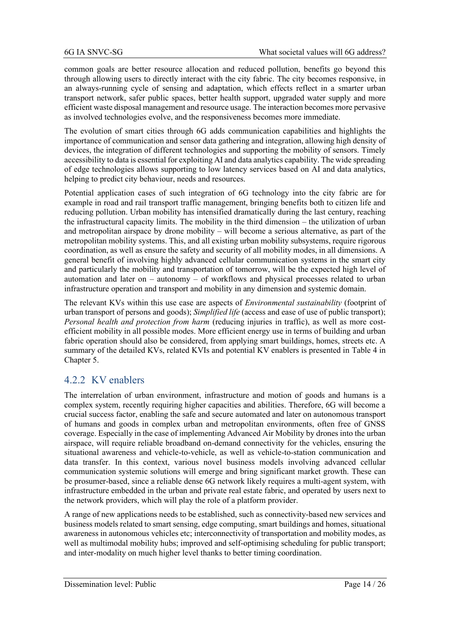common goals are better resource allocation and reduced pollution, benefits go beyond this through allowing users to directly interact with the city fabric. The city becomes responsive, in an always-running cycle of sensing and adaptation, which effects reflect in a smarter urban transport network, safer public spaces, better health support, upgraded water supply and more efficient waste disposal management and resource usage. The interaction becomes more pervasive as involved technologies evolve, and the responsiveness becomes more immediate.

The evolution of smart cities through 6G adds communication capabilities and highlights the importance of communication and sensor data gathering and integration, allowing high density of devices, the integration of different technologies and supporting the mobility of sensors. Timely accessibility to data is essential for exploiting AI and data analytics capability. The wide spreading of edge technologies allows supporting to low latency services based on AI and data analytics, helping to predict city behaviour, needs and resources.

Potential application cases of such integration of 6G technology into the city fabric are for example in road and rail transport traffic management, bringing benefits both to citizen life and reducing pollution. Urban mobility has intensified dramatically during the last century, reaching the infrastructural capacity limits. The mobility in the third dimension – the utilization of urban and metropolitan airspace by drone mobility – will become a serious alternative, as part of the metropolitan mobility systems. This, and all existing urban mobility subsystems, require rigorous coordination, as well as ensure the safety and security of all mobility modes, in all dimensions. A general benefit of involving highly advanced cellular communication systems in the smart city and particularly the mobility and transportation of tomorrow, will be the expected high level of automation and later on – autonomy – of workflows and physical processes related to urban infrastructure operation and transport and mobility in any dimension and systemic domain.

The relevant KVs within this use case are aspects of *Environmental sustainability* (footprint of urban transport of persons and goods); *Simplified life* (access and ease of use of public transport); *Personal health and protection from harm* (reducing injuries in traffic), as well as more costefficient mobility in all possible modes. More efficient energy use in terms of building and urban fabric operation should also be considered, from applying smart buildings, homes, streets etc. A summary of the detailed KVs, related KVIs and potential KV enablers is presented in [Table 4](#page-20-0) in Chapter 5.

### 4.2.2 KV enablers

The interrelation of urban environment, infrastructure and motion of goods and humans is a complex system, recently requiring higher capacities and abilities. Therefore, 6G will become a crucial success factor, enabling the safe and secure automated and later on autonomous transport of humans and goods in complex urban and metropolitan environments, often free of GNSS coverage. Especially in the case of implementing Advanced Air Mobility by drones into the urban airspace, will require reliable broadband on-demand connectivity for the vehicles, ensuring the situational awareness and vehicle-to-vehicle, as well as vehicle-to-station communication and data transfer. In this context, various novel business models involving advanced cellular communication systemic solutions will emerge and bring significant market growth. These can be prosumer-based, since a reliable dense 6G network likely requires a multi-agent system, with infrastructure embedded in the urban and private real estate fabric, and operated by users next to the network providers, which will play the role of a platform provider.

A range of new applications needs to be established, such as connectivity-based new services and business models related to smart sensing, edge computing, smart buildings and homes, situational awareness in autonomous vehicles etc; interconnectivity of transportation and mobility modes, as well as multimodal mobility hubs; improved and self-optimising scheduling for public transport; and inter-modality on much higher level thanks to better timing coordination.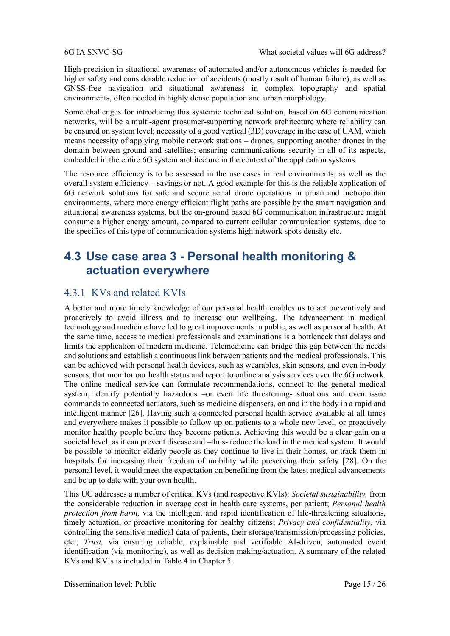High-precision in situational awareness of automated and/or autonomous vehicles is needed for higher safety and considerable reduction of accidents (mostly result of human failure), as well as GNSS-free navigation and situational awareness in complex topography and spatial environments, often needed in highly dense population and urban morphology.

Some challenges for introducing this systemic technical solution, based on 6G communication networks, will be a multi-agent prosumer-supporting network architecture where reliability can be ensured on system level; necessity of a good vertical (3D) coverage in the case of UAM, which means necessity of applying mobile network stations – drones, supporting another drones in the domain between ground and satellites; ensuring communications security in all of its aspects, embedded in the entire 6G system architecture in the context of the application systems.

The resource efficiency is to be assessed in the use cases in real environments, as well as the overall system efficiency – savings or not. A good example for this is the reliable application of 6G network solutions for safe and secure aerial drone operations in urban and metropolitan environments, where more energy efficient flight paths are possible by the smart navigation and situational awareness systems, but the on-ground based 6G communication infrastructure might consume a higher energy amount, compared to current cellular communication systems, due to the specifics of this type of communication systems high network spots density etc.

## **4.3 Use case area 3 - Personal health monitoring & actuation everywhere**

### 4.3.1 KVs and related KVIs

A better and more timely knowledge of our personal health enables us to act preventively and proactively to avoid illness and to increase our wellbeing. The advancement in medical technology and medicine have led to great improvements in public, as well as personal health. At the same time, access to medical professionals and examinations is a bottleneck that delays and limits the application of modern medicine. Telemedicine can bridge this gap between the needs and solutions and establish a continuous link between patients and the medical professionals. This can be achieved with personal health devices, such as wearables, skin sensors, and even in-body sensors, that monitor our health status and report to online analysis services over the 6G network. The online medical service can formulate recommendations, connect to the general medical system, identify potentially hazardous –or even life threatening- situations and even issue commands to connected actuators, such as medicine dispensers, on and in the body in a rapid and intelligent manner [\[26\].](#page-23-26) Having such a connected personal health service available at all times and everywhere makes it possible to follow up on patients to a whole new level, or proactively monitor healthy people before they become patients. Achieving this would be a clear gain on a societal level, as it can prevent disease and –thus- reduce the load in the medical system. It would be possible to monitor elderly people as they continue to live in their homes, or track them in hospitals for increasing their freedom of mobility while preserving their safety [\[28\].](#page-24-0) On the personal level, it would meet the expectation on benefiting from the latest medical advancements and be up to date with your own health.

This UC addresses a number of critical KVs (and respective KVIs): *Societal sustainability,* from the considerable reduction in average cost in health care systems, per patient; *Personal health protection from harm,* via the intelligent and rapid identification of life-threatening situations, timely actuation, or proactive monitoring for healthy citizens; *Privacy and confidentiality,* via controlling the sensitive medical data of patients, their storage/transmission/processing policies, etc.; *Trust,* via ensuring reliable, explainable and verifiable AI-driven, automated event identification (via monitoring), as well as decision making/actuation. A summary of the related KVs and KVIs is included in [Table 4](#page-20-0) in Chapter 5.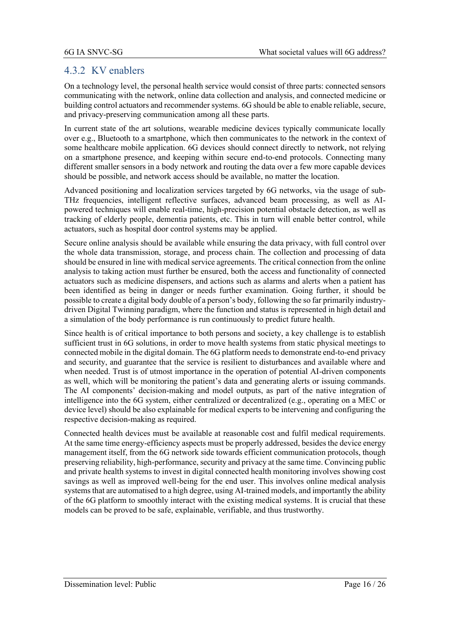### 4.3.2 KV enablers

On a technology level, the personal health service would consist of three parts: connected sensors communicating with the network, online data collection and analysis, and connected medicine or building control actuators and recommender systems. 6G should be able to enable reliable, secure, and privacy-preserving communication among all these parts.

In current state of the art solutions, wearable medicine devices typically communicate locally over e.g., Bluetooth to a smartphone, which then communicates to the network in the context of some healthcare mobile application. 6G devices should connect directly to network, not relying on a smartphone presence, and keeping within secure end-to-end protocols. Connecting many different smaller sensors in a body network and routing the data over a few more capable devices should be possible, and network access should be available, no matter the location.

Advanced positioning and localization services targeted by 6G networks, via the usage of sub-THz frequencies, intelligent reflective surfaces, advanced beam processing, as well as AIpowered techniques will enable real-time, high-precision potential obstacle detection, as well as tracking of elderly people, dementia patients, etc. This in turn will enable better control, while actuators, such as hospital door control systems may be applied.

Secure online analysis should be available while ensuring the data privacy, with full control over the whole data transmission, storage, and process chain. The collection and processing of data should be ensured in line with medical service agreements. The critical connection from the online analysis to taking action must further be ensured, both the access and functionality of connected actuators such as medicine dispensers, and actions such as alarms and alerts when a patient has been identified as being in danger or needs further examination. Going further, it should be possible to create a digital body double of a person's body, following the so far primarily industrydriven Digital Twinning paradigm, where the function and status is represented in high detail and a simulation of the body performance is run continuously to predict future health.

Since health is of critical importance to both persons and society, a key challenge is to establish sufficient trust in 6G solutions, in order to move health systems from static physical meetings to connected mobile in the digital domain. The 6G platform needs to demonstrate end-to-end privacy and security, and guarantee that the service is resilient to disturbances and available where and when needed. Trust is of utmost importance in the operation of potential AI-driven components as well, which will be monitoring the patient's data and generating alerts or issuing commands. The AI components' decision-making and model outputs, as part of the native integration of intelligence into the 6G system, either centralized or decentralized (e.g., operating on a MEC or device level) should be also explainable for medical experts to be intervening and configuring the respective decision-making as required.

Connected health devices must be available at reasonable cost and fulfil medical requirements. At the same time energy-efficiency aspects must be properly addressed, besides the device energy management itself, from the 6G network side towards efficient communication protocols, though preserving reliability, high-performance, security and privacy at the same time. Convincing public and private health systems to invest in digital connected health monitoring involves showing cost savings as well as improved well-being for the end user. This involves online medical analysis systems that are automatised to a high degree, using AI-trained models, and importantly the ability of the 6G platform to smoothly interact with the existing medical systems. It is crucial that these models can be proved to be safe, explainable, verifiable, and thus trustworthy.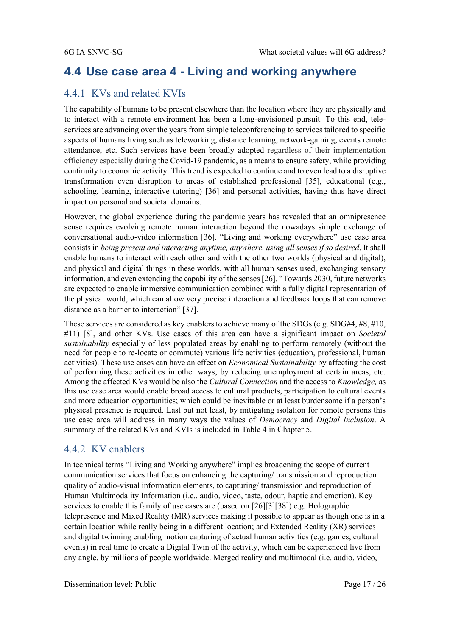## **4.4 Use case area 4 - Living and working anywhere**

### 4.4.1 KVs and related KVIs

The capability of humans to be present elsewhere than the location where they are physically and to interact with a remote environment has been a long-envisioned pursuit. To this end, teleservices are advancing over the years from simple teleconferencing to services tailored to specific aspects of humans living such as teleworking, distance learning, network-gaming, events remote attendance, etc. Such services have been broadly adopted regardless of their implementation efficiency especially during the Covid-19 pandemic, as a means to ensure safety, while providing continuity to economic activity. This trend is expected to continue and to even lead to a disruptive transformation even disruption to areas of established professional [\[35\],](#page-24-7) educational (e.g., schooling, learning, interactive tutoring) [\[36\]](#page-24-8) and personal activities, having thus have direct impact on personal and societal domains.

However, the global experience during the pandemic years has revealed that an omnipresence sense requires evolving remote human interaction beyond the nowadays simple exchange of conversational audio-video information [\[36\]](#page-24-8). "Living and working everywhere" use case area consists in *being present and interacting anytime, anywhere, using all senses if so desired*. It shall enable humans to interact with each other and with the other two worlds (physical and digital), and physical and digital things in these worlds, with all human senses used, exchanging sensory information, and even extending the capability of the sense[s \[26\]](#page-23-26). "Towards 2030, future networks are expected to enable immersive communication combined with a fully digital representation of the physical world, which can allow very precise interaction and feedback loops that can remove distance as a barrier to interaction" [\[37\].](#page-24-9)

These services are considered as key enablers to achieve many of the SDGs (e.g. SDG#4, #8, #10, #11) [\[8\],](#page-23-7) and other KVs. Use cases of this area can have a significant impact on *Societal sustainability* especially of less populated areas by enabling to perform remotely (without the need for people to re-locate or commute) various life activities (education, professional, human activities). These use cases can have an effect on *Economical Sustainability* by affecting the cost of performing these activities in other ways, by reducing unemployment at certain areas, etc. Among the affected KVs would be also the *Cultural Connection* and the access to *Knowledge,* as this use case area would enable broad access to cultural products, participation to cultural events and more education opportunities; which could be inevitable or at least burdensome if a person's physical presence is required. Last but not least, by mitigating isolation for remote persons this use case area will address in many ways the values of *Democracy* and *Digital Inclusion*. A summary of the related KVs and KVIs is included in [Table 4](#page-20-0) in Chapter 5.

### 4.4.2 KV enablers

In technical terms "Living and Working anywhere" implies broadening the scope of current communication services that focus on enhancing the capturing/ transmission and reproduction quality of audio-visual information elements, to capturing/ transmission and reproduction of Human Multimodality Information (i.e., audio, video, taste, odour, haptic and emotion). Key services to enable this family of use cases are (based on [\[26\]](#page-23-26)[\[3\]](#page-23-2)[\[38\]\)](#page-24-10) e.g. Holographic telepresence and Mixed Reality (MR) services making it possible to appear as though one is in a certain location while really being in a different location; and Extended Reality (XR) services and digital twinning enabling motion capturing of actual human activities (e.g. games, cultural events) in real time to create a Digital Twin of the activity, which can be experienced live from any angle, by millions of people worldwide. Merged reality and multimodal (i.e. audio, video,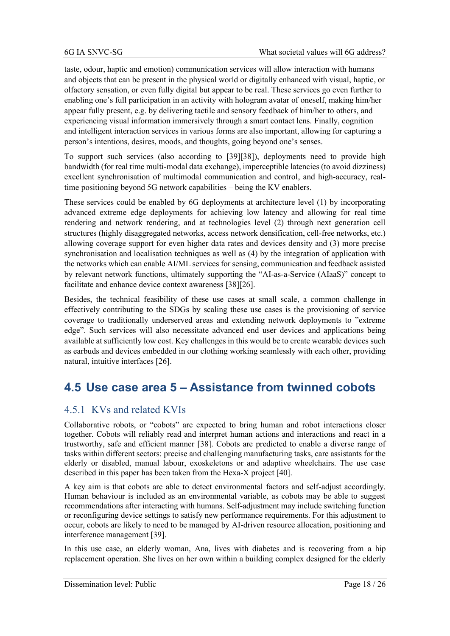taste, odour, haptic and emotion) communication services will allow interaction with humans and objects that can be present in the physical world or digitally enhanced with visual, haptic, or olfactory sensation, or even fully digital but appear to be real. These services go even further to enabling one's full participation in an activity with hologram avatar of oneself, making him/her appear fully present, e.g. by delivering tactile and sensory feedback of him/her to others, and experiencing visual information immersively through a smart contact lens. Finally, cognition and intelligent interaction services in various forms are also important, allowing for capturing a person's intentions, desires, moods, and thoughts, going beyond one's senses.

To support such services (also according to [\[39\]](#page-24-11)[\[38\]\)](#page-24-10), deployments need to provide high bandwidth (for real time multi-modal data exchange), imperceptible latencies (to avoid dizziness) excellent synchronisation of multimodal communication and control, and high-accuracy, realtime positioning beyond 5G network capabilities – being the KV enablers.

These services could be enabled by 6G deployments at architecture level (1) by incorporating advanced extreme edge deployments for achieving low latency and allowing for real time rendering and network rendering, and at technologies level (2) through next generation cell structures (highly disaggregated networks, access network densification, cell-free networks, etc.) allowing coverage support for even higher data rates and devices density and (3) more precise synchronisation and localisation techniques as well as (4) by the integration of application with the networks which can enable AI/ML services for sensing, communication and feedback assisted by relevant network functions, ultimately supporting the "AI-as-a-Service (AIaaS)" concept to facilitate and enhance device context awareness [\[38\]](#page-24-10)[\[26\].](#page-23-26)

Besides, the technical feasibility of these use cases at small scale, a common challenge in effectively contributing to the SDGs by scaling these use cases is the provisioning of service coverage to traditionally underserved areas and extending network deployments to "extreme edge". Such services will also necessitate advanced end user devices and applications being available at sufficiently low cost. Key challenges in this would be to create wearable devices such as earbuds and devices embedded in our clothing working seamlessly with each other, providing natural, intuitive interfaces [\[26\].](#page-23-26)

## **4.5 Use case area 5 – Assistance from twinned cobots**

### 4.5.1 KVs and related KVIs

Collaborative robots, or "cobots" are expected to bring human and robot interactions closer together. Cobots will reliably read and interpret human actions and interactions and react in a trustworthy, safe and efficient manner [\[38\].](#page-24-10) Cobots are predicted to enable a diverse range of tasks within different sectors: precise and challenging manufacturing tasks, care assistants for the elderly or disabled, manual labour, exoskeletons or and adaptive wheelchairs. The use case described in this paper has been taken from the Hexa-X project [\[40\].](#page-24-12)

A key aim is that cobots are able to detect environmental factors and self-adjust accordingly. Human behaviour is included as an environmental variable, as cobots may be able to suggest recommendations after interacting with humans. Self-adjustment may include switching function or reconfiguring device settings to satisfy new performance requirements. For this adjustment to occur, cobots are likely to need to be managed by AI-driven resource allocation, positioning and interference management [\[39\].](#page-24-11)

In this use case, an elderly woman, Ana, lives with diabetes and is recovering from a hip replacement operation. She lives on her own within a building complex designed for the elderly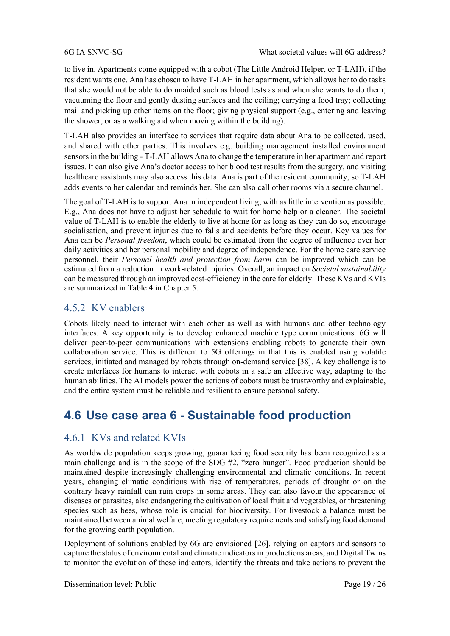to live in. Apartments come equipped with a cobot (The Little Android Helper, or T-LAH), if the resident wants one. Ana has chosen to have T-LAH in her apartment, which allows her to do tasks that she would not be able to do unaided such as blood tests as and when she wants to do them; vacuuming the floor and gently dusting surfaces and the ceiling; carrying a food tray; collecting mail and picking up other items on the floor; giving physical support (e.g., entering and leaving the shower, or as a walking aid when moving within the building).

T-LAH also provides an interface to services that require data about Ana to be collected, used, and shared with other parties. This involves e.g. building management installed environment sensors in the building - T-LAH allows Ana to change the temperature in her apartment and report issues. It can also give Ana's doctor access to her blood test results from the surgery, and visiting healthcare assistants may also access this data. Ana is part of the resident community, so T-LAH adds events to her calendar and reminds her. She can also call other rooms via a secure channel.

The goal of T-LAH is to support Ana in independent living, with as little intervention as possible. E.g., Ana does not have to adjust her schedule to wait for home help or a cleaner. The societal value of T-LAH is to enable the elderly to live at home for as long as they can do so, encourage socialisation, and prevent injuries due to falls and accidents before they occur. Key values for Ana can be *Personal freedom*, which could be estimated from the degree of influence over her daily activities and her personal mobility and degree of independence. For the home care service personnel, their *Personal health and protection from harm* can be improved which can be estimated from a reduction in work-related injuries. Overall, an impact on *Societal sustainability* can be measured through an improved cost-efficiency in the care for elderly. These KVs and KVIs are summarized in [Table 4](#page-20-0) in Chapter 5.

### 4.5.2 KV enablers

Cobots likely need to interact with each other as well as with humans and other technology interfaces. A key opportunity is to develop enhanced machine type communications. 6G will deliver peer-to-peer communications with extensions enabling robots to generate their own collaboration service. This is different to 5G offerings in that this is enabled using volatile services, initiated and managed by robots through on-demand service [\[38\].](#page-24-10) A key challenge is to create interfaces for humans to interact with cobots in a safe an effective way, adapting to the human abilities. The AI models power the actions of cobots must be trustworthy and explainable, and the entire system must be reliable and resilient to ensure personal safety.

## **4.6 Use case area 6 - Sustainable food production**

### 4.6.1 KVs and related KVIs

As worldwide population keeps growing, guaranteeing food security has been recognized as a main challenge and is in the scope of the SDG #2, "zero hunger". Food production should be maintained despite increasingly challenging environmental and climatic conditions. In recent years, changing climatic conditions with rise of temperatures, periods of drought or on the contrary heavy rainfall can ruin crops in some areas. They can also favour the appearance of diseases or parasites, also endangering the cultivation of local fruit and vegetables, or threatening species such as bees, whose role is crucial for biodiversity. For livestock a balance must be maintained between animal welfare, meeting regulatory requirements and satisfying food demand for the growing earth population.

Deployment of solutions enabled by 6G are envisioned [\[26\],](#page-23-26) relying on captors and sensors to capture the status of environmental and climatic indicators in productions areas, and Digital Twins to monitor the evolution of these indicators, identify the threats and take actions to prevent the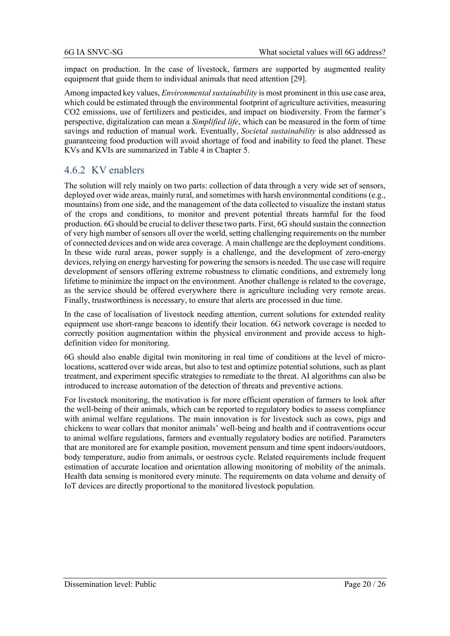impact on production. In the case of livestock, farmers are supported by augmented reality equipment that guide them to individual animals that need attention [\[29\].](#page-24-1)

Among impacted key values, *Environmental sustainability* is most prominent in this use case area, which could be estimated through the environmental footprint of agriculture activities, measuring CO2 emissions, use of fertilizers and pesticides, and impact on biodiversity. From the farmer's perspective, digitalization can mean a *Simplified life*, which can be measured in the form of time savings and reduction of manual work. Eventually, *Societal sustainability* is also addressed as guaranteeing food production will avoid shortage of food and inability to feed the planet. These KVs and KVIs are summarized in [Table 4](#page-20-0) in Chapter 5.

### 4.6.2 KV enablers

The solution will rely mainly on two parts: collection of data through a very wide set of sensors, deployed over wide areas, mainly rural, and sometimes with harsh environmental conditions (e.g., mountains) from one side, and the management of the data collected to visualize the instant status of the crops and conditions, to monitor and prevent potential threats harmful for the food production. 6G should be crucial to deliver these two parts. First, 6G should sustain the connection of very high number of sensors all over the world, setting challenging requirements on the number of connected devices and on wide area coverage. A main challenge are the deployment conditions. In these wide rural areas, power supply is a challenge, and the development of zero-energy devices, relying on energy harvesting for powering the sensors is needed. The use case will require development of sensors offering extreme robustness to climatic conditions, and extremely long lifetime to minimize the impact on the environment. Another challenge is related to the coverage, as the service should be offered everywhere there is agriculture including very remote areas. Finally, trustworthiness is necessary, to ensure that alerts are processed in due time.

In the case of localisation of livestock needing attention, current solutions for extended reality equipment use short-range beacons to identify their location. 6G network coverage is needed to correctly position augmentation within the physical environment and provide access to highdefinition video for monitoring.

6G should also enable digital twin monitoring in real time of conditions at the level of microlocations, scattered over wide areas, but also to test and optimize potential solutions, such as plant treatment, and experiment specific strategies to remediate to the threat. AI algorithms can also be introduced to increase automation of the detection of threats and preventive actions.

For livestock monitoring, the motivation is for more efficient operation of farmers to look after the well-being of their animals, which can be reported to regulatory bodies to assess compliance with animal welfare regulations. The main innovation is for livestock such as cows, pigs and chickens to wear collars that monitor animals' well-being and health and if contraventions occur to animal welfare regulations, farmers and eventually regulatory bodies are notified. Parameters that are monitored are for example position, movement pensum and time spent indoors/outdoors, body temperature, audio from animals, or oestrous cycle. Related requirements include frequent estimation of accurate location and orientation allowing monitoring of mobility of the animals. Health data sensing is monitored every minute. The requirements on data volume and density of IoT devices are directly proportional to the monitored livestock population.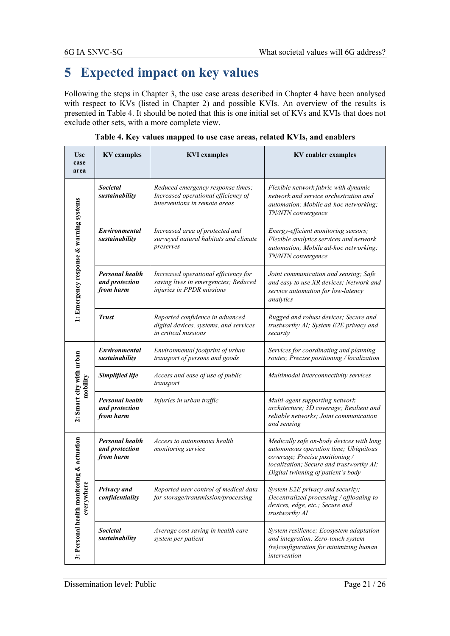# **5 Expected impact on key values**

Following the steps in Chapter 3, the use case areas described in Chapter 4 have been analysed with respect to KVs (listed in Chapter 2) and possible KVIs. An overview of the results is presented in [Table 4.](#page-20-0) It should be noted that this is one initial set of KVs and KVIs that does not exclude other sets, with a more complete view.

<span id="page-20-0"></span>

| <b>Use</b><br>case<br>area              | <b>KV</b> examples                                    | <b>KVI</b> examples                                                                                       | <b>KV</b> enabler examples                                                                                                                                                                             |
|-----------------------------------------|-------------------------------------------------------|-----------------------------------------------------------------------------------------------------------|--------------------------------------------------------------------------------------------------------------------------------------------------------------------------------------------------------|
|                                         | <b>Societal</b><br>sustainability                     | Reduced emergency response times;<br>Increased operational efficiency of<br>interventions in remote areas | Flexible network fabric with dynamic<br>network and service orchestration and<br>automation; Mobile ad-hoc networking;<br>TN/NTN convergence                                                           |
| 1: Emergency response & warning systems | <b>Environmental</b><br>sustainability                | Increased area of protected and<br>surveyed natural habitats and climate<br>preserves                     | Energy-efficient monitoring sensors;<br>Flexible analytics services and network<br>automation; Mobile ad-hoc networking;<br>TN/NTN convergence                                                         |
|                                         | <b>Personal health</b><br>and protection<br>from harm | Increased operational efficiency for<br>saving lives in emergencies; Reduced<br>injuries in PPDR missions | Joint communication and sensing; Safe<br>and easy to use XR devices; Network and<br>service automation for low-latency<br>analytics                                                                    |
|                                         | <b>Trust</b>                                          | Reported confidence in advanced<br>digital devices, systems, and services<br>in critical missions         | Rugged and robust devices; Secure and<br>trustworthy AI; System E2E privacy and<br>security                                                                                                            |
|                                         | Environmental<br>sustainability                       | Environmental footprint of urban<br>transport of persons and goods                                        | Services for coordinating and planning<br>routes; Precise positioning / localization                                                                                                                   |
| mobility                                | Simplified life                                       | Access and ease of use of public<br>transport                                                             | Multimodal interconnectivity services                                                                                                                                                                  |
| 2: Smart city with urban                | <b>Personal health</b><br>and protection<br>from harm | Injuries in urban traffic                                                                                 | Multi-agent supporting network<br>architecture; 3D coverage; Resilient and<br>reliable networks; Joint communication<br>and sensing                                                                    |
| ring & actuation                        | <b>Personal health</b><br>and protection<br>from harm | Access to autonomous health<br>monitoring service                                                         | Medically safe on-body devices with long<br>autonomous operation time; Ubiquitous<br>coverage; Precise positioning /<br>localization; Secure and trustworthy AI;<br>Digital twinning of patient's body |
| everywhere                              | Privacy and<br>confidentiality                        | Reported user control of medical data<br>for storage/transmission/processing                              | System E2E privacy and security;<br>Decentralized processing / offloading to<br>devices, edge, etc.; Secure and<br>trustworthy AI                                                                      |
| 3: Personal health monito               | <i>Societal</i><br>sustainability                     | Average cost saving in health care<br>system per patient                                                  | System resilience; Ecosystem adaptation<br>and integration; Zero-touch system<br>(re)configuration for minimizing human<br>intervention                                                                |

**Table 4. Key values mapped to use case areas, related KVIs, and enablers**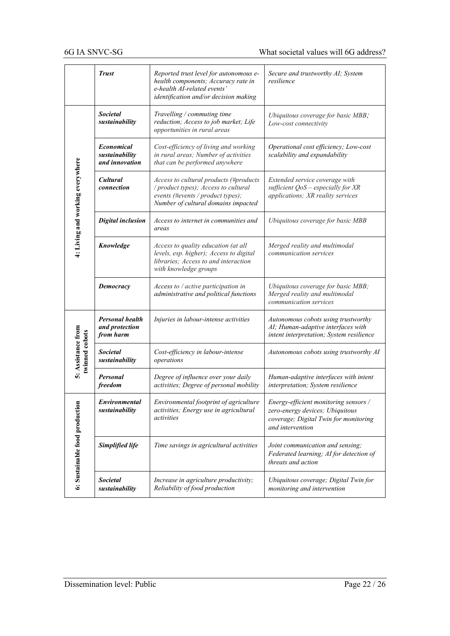|                                      | <b>Trust</b>                                          | Reported trust level for autonomous e-<br>health components; Accuracy rate in<br>e-health AI-related events'<br>identification and/or decision making      | Secure and trustworthy AI; System<br>resilience                                                                                       |
|--------------------------------------|-------------------------------------------------------|------------------------------------------------------------------------------------------------------------------------------------------------------------|---------------------------------------------------------------------------------------------------------------------------------------|
|                                      | <b>Societal</b><br>sustainability                     | Travelling / commuting time<br>reduction; Access to job market; Life<br>opportunities in rural areas                                                       | Ubiquitous coverage for basic MBB;<br>Low-cost connectivity                                                                           |
|                                      | <b>Economical</b><br>sustainability<br>and innovation | Cost-efficiency of living and working<br>in rural areas; Number of activities<br>that can be performed anywhere                                            | Operational cost efficiency; Low-cost<br>scalability and expandability                                                                |
| 4: Living and working everywhere     | Cultural<br>connection                                | Access to cultural products (#products<br>/ product types); Access to cultural<br>events (#events / product types);<br>Number of cultural domains impacted | Extended service coverage with<br>sufficient $QoS - especially for XR$<br>applications; XR reality services                           |
|                                      | <b>Digital inclusion</b>                              | Access to internet in communities and<br>areas                                                                                                             | Ubiquitous coverage for basic MBB                                                                                                     |
|                                      | Knowledge                                             | Access to quality education (at all<br>levels, esp. higher); Access to digital<br>libraries; Access to and interaction<br>with knowledge groups            | Merged reality and multimodal<br>communication services                                                                               |
|                                      | Democracy                                             | Access to / active participation in<br>administrative and political functions                                                                              | Ubiquitous coverage for basic MBB;<br>Merged reality and multimodal<br>communication services                                         |
|                                      | <b>Personal health</b><br>and protection<br>from harm | Injuries in labour-intense activities                                                                                                                      | Autonomous cobots using trustworthy<br>AI; Human-adaptive interfaces with<br>intent interpretation; System resilience                 |
| 5: Assistance from<br>twinned cobots | <b>Societal</b><br>sustainability                     | Cost-efficiency in labour-intense<br>operations                                                                                                            | Autonomous cobots using trustworthy AI                                                                                                |
|                                      | Personal<br>freedom                                   | Degree of influence over your daily<br>activities; Degree of personal mobility                                                                             | Human-adaptive interfaces with intent<br>interpretation; System resilience                                                            |
| 6: Sustainable food production       | Environmental<br>sustainability                       | Environmental footprint of agriculture<br>activities; Energy use in agricultural<br>activities                                                             | Energy-efficient monitoring sensors /<br>zero-energy devices; Ubiquitous<br>coverage; Digital Twin for monitoring<br>and intervention |
|                                      | Simplified life                                       | Time savings in agricultural activities                                                                                                                    | Joint communication and sensing;<br>Federated learning; AI for detection of<br>threats and action                                     |
|                                      | <b>Societal</b><br>sustainability                     | Increase in agriculture productivity;<br>Reliability of food production                                                                                    | Ubiquitous coverage; Digital Twin for<br>monitoring and intervention                                                                  |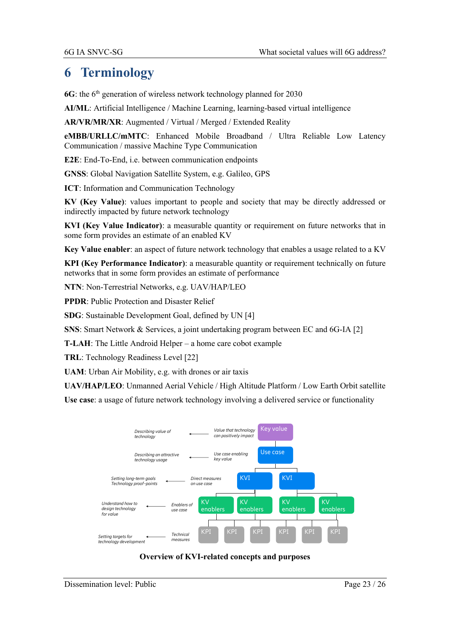## **6 Terminology**

**6G**: the 6<sup>th</sup> generation of wireless network technology planned for 2030

**AI/ML**: Artificial Intelligence / Machine Learning, learning-based virtual intelligence

**AR/VR/MR/XR**: Augmented / Virtual / Merged / Extended Reality

**eMBB/URLLC/mMTC**: Enhanced Mobile Broadband / Ultra Reliable Low Latency Communication / massive Machine Type Communication

**E2E**: End-To-End, i.e. between communication endpoints

**GNSS**: Global Navigation Satellite System, e.g. Galileo, GPS

**ICT**: Information and Communication Technology

**KV (Key Value)**: values important to people and society that may be directly addressed or indirectly impacted by future network technology

**KVI (Key Value Indicator)**: a measurable quantity or requirement on future networks that in some form provides an estimate of an enabled KV

**Key Value enabler**: an aspect of future network technology that enables a usage related to a KV

**KPI (Key Performance Indicator)**: a measurable quantity or requirement technically on future networks that in some form provides an estimate of performance

**NTN**: Non-Terrestrial Networks, e.g. UAV/HAP/LEO

**PPDR**: Public Protection and Disaster Relief

**SDG**: Sustainable Development Goal, defined by UN [\[4\]](#page-23-3)

**SNS**: Smart Network & Services, a joint undertaking program between EC and 6G-IA [\[2\]](#page-23-1)

**T-LAH**: The Little Android Helper – a home care cobot example

**TRL**: Technology Readiness Level [\[22\]](#page-23-22)

**UAM**: Urban Air Mobility, e.g. with drones or air taxis

**UAV/HAP/LEO**: Unmanned Aerial Vehicle / High Altitude Platform / Low Earth Orbit satellite

**Use case**: a usage of future network technology involving a delivered service or functionality



#### **Overview of KVI-related concepts and purposes**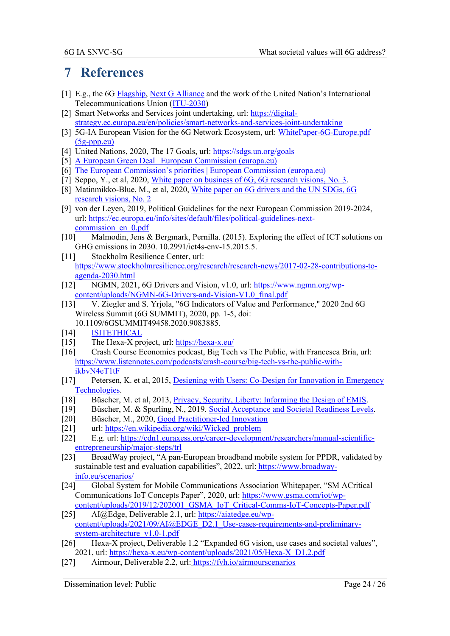## **7 References**

- <span id="page-23-0"></span>[1] E.g., the [6G Flagship,](https://www.6gflagship.com/) [Next G Alliance](https://nextgalliance.org/) and the work of the United Nation's International Telecommunications Union [\(ITU-2030\)](https://www.itu.int/en/ITU-R/study-groups/rsg5/rwp5d/Pages/default.aspx)
- <span id="page-23-1"></span>[2] Smart Networks and Services joint undertaking, url: [https://digital](https://digital-strategy.ec.europa.eu/en/policies/smart-networks-and-services-joint-undertaking)[strategy.ec.europa.eu/en/policies/smart-networks-and-services-joint-undertaking](https://digital-strategy.ec.europa.eu/en/policies/smart-networks-and-services-joint-undertaking)
- <span id="page-23-2"></span>[3] 5G-IA European Vision for the 6G Network Ecosystem, url: WhitePaper-6G-Europe.pdf [\(5g-ppp.eu\)](https://5g-ppp.eu/wp-content/uploads/2021/06/WhitePaper-6G-Europe.pdf)
- <span id="page-23-3"></span>[4] United Nations, 2020, The 17 Goals, url: https://sdgs.un.org/goals
- <span id="page-23-4"></span>[5] [A European Green Deal | European Commission \(europa.eu\)](https://ec.europa.eu/info/strategy/priorities-2019-2024/european-green-deal_en#documents)
- <span id="page-23-12"></span><span id="page-23-5"></span>[6] [The European Commission's priorities | European Commission \(europa.eu\)](https://ec.europa.eu/info/strategy/priorities-2019-2024_en)
- <span id="page-23-6"></span>[7] Seppo, Y., et al, 2020, [White paper on business of 6G, 6G research visions, No. 3.](http://jultika.oulu.fi/files/isbn9789526226767.pdf)
- <span id="page-23-7"></span>[8] Matinmikko-Blue, M., et al, 2020, [White paper on 6G drivers and the UN SDGs, 6G](http://jultika.oulu.fi/files/isbn9789526226699.pdf)  [research visions, No. 2](http://jultika.oulu.fi/files/isbn9789526226699.pdf)
- <span id="page-23-8"></span>[9] von der Leyen, 2019, Political Guidelines for the next European Commission 2019-2024, url: [https://ec.europa.eu/info/sites/default/files/political-guidelines-next](https://ec.europa.eu/info/sites/default/files/political-guidelines-next-commission_en_0.pdf)[commission\\_en\\_0.pdf](https://ec.europa.eu/info/sites/default/files/political-guidelines-next-commission_en_0.pdf)
- <span id="page-23-9"></span>[10] Malmodin, Jens & Bergmark, Pernilla. (2015). Exploring the effect of ICT solutions on GHG emissions in 2030. 10.2991/ict4s-env-15.2015.5.
- <span id="page-23-10"></span>[11] Stockholm Resilience Center, url: https://www.stockholmresilience.org/research/research-news/2017-02-28-contributions-toagenda-2030.html
- <span id="page-23-11"></span>[12] NGMN, 2021, 6G Drivers and Vision, v1.0, url: [https://www.ngmn.org/wp](https://www.ngmn.org/wp-content/uploads/NGMN-6G-Drivers-and-Vision-V1.0_final.pdf)[content/uploads/NGMN-6G-Drivers-and-Vision-V1.0\\_final.pdf](https://www.ngmn.org/wp-content/uploads/NGMN-6G-Drivers-and-Vision-V1.0_final.pdf)
- <span id="page-23-13"></span>[13] V. Ziegler and S. Yrjola, "6G Indicators of Value and Performance," 2020 2nd 6G Wireless Summit (6G SUMMIT), 2020, pp. 1-5, doi:
	- 10.1109/6GSUMMIT49458.2020.9083885.
- <span id="page-23-14"></span>[14] [ISITETHICAL](https://www.isitethical.org/portfolio-item/privacy)
- <span id="page-23-15"></span>[15] The Hexa-X project, url:<https://hexa-x.eu/>
- <span id="page-23-16"></span>[16] Crash Course Economics podcast, Big Tech vs The Public, with Francesca Bria, url: [https://www.listennotes.com/podcasts/crash-course/big-tech-vs-the-public-with](https://www.listennotes.com/podcasts/crash-course/big-tech-vs-the-public-with-ikbvN4eT1tF)[ikbvN4eT1tF](https://www.listennotes.com/podcasts/crash-course/big-tech-vs-the-public-with-ikbvN4eT1tF)
- <span id="page-23-17"></span>[17] Petersen, K. et al, 2015, Designing with Users: Co-Design for Innovation in Emergency [Technologies.](https://eprints.lancs.ac.uk/id/eprint/74879/1/2015_Petersenetal_Co_Design_ISCRAM2015.pdf)
- <span id="page-23-18"></span>[18] Büscher, M. et al, 2013, *Privacy*, *Security*, *Liberty: Informing the Design of EMIS.*
- <span id="page-23-19"></span>[19] Büscher, M. & Spurling, N., 2019. [Social Acceptance and Societal Readiness Levels.](https://decarbon8.org.uk/social-acceptance-and-societal-readiness-levels)
- <span id="page-23-20"></span>[20] Büscher, M., 2020, [Good Practitioner-led Innovation](https://www.psc-europe.eu/20-november-2020-november-use-cases-and-scenarios-for-good-practitioner-led-innovation-in-ppdr/)
- <span id="page-23-21"></span>[21] url: [https://en.wikipedia.org/wiki/Wicked\\_problem](https://en.wikipedia.org/wiki/Wicked_problem)
- <span id="page-23-22"></span>[22] E.g. url: [https://cdn1.euraxess.org/career-development/researchers/manual-scientific](https://cdn1.euraxess.org/career-development/researchers/manual-scientific-entrepreneurship/major-steps/trl)[entrepreneurship/major-steps/trl](https://cdn1.euraxess.org/career-development/researchers/manual-scientific-entrepreneurship/major-steps/trl)
- <span id="page-23-23"></span>[23] BroadWay project, "A pan-European broadband mobile system for PPDR, validated by sustainable test and evaluation capabilities", 2022, url: [https://www.broadway](https://www.broadway-info.eu/scenarios/)[info.eu/scenarios/](https://www.broadway-info.eu/scenarios/)
- <span id="page-23-24"></span>[24] Global System for Mobile Communications Association Whitepaper, "SM ACritical Communications IoT Concepts Paper", 2020, url: [https://www.gsma.com/iot/wp](https://www.gsma.com/iot/wp-content/uploads/2019/12/202001_GSMA_IoT_Critical-Comms-IoT-Concepts-Paper.pdf)[content/uploads/2019/12/202001\\_GSMA\\_IoT\\_Critical-Comms-IoT-Concepts-Paper.pdf](https://www.gsma.com/iot/wp-content/uploads/2019/12/202001_GSMA_IoT_Critical-Comms-IoT-Concepts-Paper.pdf)
- <span id="page-23-25"></span>[25] AI@Edge, Deliverable 2.1, url: https://aiatedge.eu/wpcontent/uploads/2021/09/AI@EDGE\_D2.1\_Use-cases-requirements-and-preliminarysystem-architecture\_v1.0-1.pdf
- <span id="page-23-26"></span>[26] Hexa-X project, Deliverable 1.2 "Expanded 6G vision, use cases and societal values", 2021, url: [https://hexa-x.eu/wp-content/uploads/2021/05/Hexa-X\\_D1.2.pdf](https://hexa-x.eu/wp-content/uploads/2021/05/Hexa-X_D1.2.pdf)
- <span id="page-23-27"></span>[27] Airmour, Deliverable 2.2, url: https://fvh.io/airmourscenarios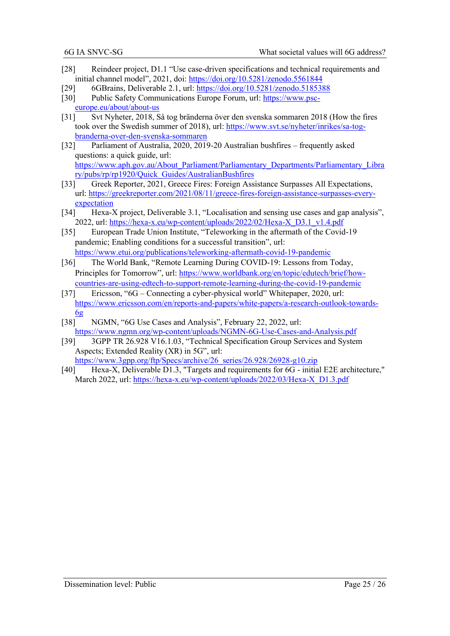- <span id="page-24-0"></span>[28] Reindeer project, D1.1 "Use case-driven specifications and technical requirements and initial channel model", 2021, doi: <https://doi.org/10.5281/zenodo.5561844>
- <span id="page-24-1"></span>[29] 6GBrains, Deliverable 2.1, url: https://doi.org/10.5281/zenodo.5185388
- <span id="page-24-2"></span>[30] Public Safety Communications Europe Forum, url: [https://www.psc](https://www.psc-europe.eu/about/about-us)[europe.eu/about/about-us](https://www.psc-europe.eu/about/about-us)
- <span id="page-24-3"></span>[31] Svt Nyheter, 2018, Så tog bränderna över den svenska sommaren 2018 (How the fires took over the Swedish summer of 2018), url: [https://www.svt.se/nyheter/inrikes/sa-tog](https://www.svt.se/nyheter/inrikes/sa-tog-branderna-over-den-svenska-sommaren)[branderna-over-den-svenska-sommaren](https://www.svt.se/nyheter/inrikes/sa-tog-branderna-over-den-svenska-sommaren)
- <span id="page-24-4"></span>[32] Parliament of Australia, 2020, 2019-20 Australian bushfires – frequently asked questions: a quick guide, url: [https://www.aph.gov.au/About\\_Parliament/Parliamentary\\_Departments/Parliamentary\\_Libra](https://www.aph.gov.au/About_Parliament/Parliamentary_Departments/Parliamentary_Library/pubs/rp/rp1920/Quick_Guides/AustralianBushfires) [ry/pubs/rp/rp1920/Quick\\_Guides/AustralianBushfires](https://www.aph.gov.au/About_Parliament/Parliamentary_Departments/Parliamentary_Library/pubs/rp/rp1920/Quick_Guides/AustralianBushfires)
- <span id="page-24-5"></span>[33] Greek Reporter, 2021, Greece Fires: Foreign Assistance Surpasses All Expectations, url: [https://greekreporter.com/2021/08/11/greece-fires-foreign-assistance-surpasses-every](https://greekreporter.com/2021/08/11/greece-fires-foreign-assistance-surpasses-every-expectation)[expectation](https://greekreporter.com/2021/08/11/greece-fires-foreign-assistance-surpasses-every-expectation)
- <span id="page-24-6"></span>[34] Hexa-X project, Deliverable 3.1, "Localisation and sensing use cases and gap analysis", 2022, url: [https://hexa-x.eu/wp-content/uploads/2022/02/Hexa-X\\_D3.1\\_v1.4.pdf](https://hexa-x.eu/wp-content/uploads/2022/02/Hexa-X_D3.1_v1.4.pdf)
- <span id="page-24-7"></span>[35] European Trade Union Institute, "Teleworking in the aftermath of the Covid-19 pandemic; Enabling conditions for a successful transition", url: <https://www.etui.org/publications/teleworking-aftermath-covid-19-pandemic>
- <span id="page-24-8"></span>[36] The World Bank, "Remote Learning During COVID-19: Lessons from Today, Principles for Tomorrow", url: [https://www.worldbank.org/en/topic/edutech/brief/how](https://www.worldbank.org/en/topic/edutech/brief/how-countries-are-using-edtech-to-support-remote-learning-during-the-covid-19-pandemic)[countries-are-using-edtech-to-support-remote-learning-during-the-covid-19-pandemic](https://www.worldbank.org/en/topic/edutech/brief/how-countries-are-using-edtech-to-support-remote-learning-during-the-covid-19-pandemic)
- <span id="page-24-9"></span>[37] Ericsson, "6G – Connecting a cyber-physical world" Whitepaper, 2020, url: [https://www.ericsson.com/en/reports-and-papers/white-papers/a-research-outlook-towards-](https://www.ericsson.com/en/reports-and-papers/white-papers/a-research-outlook-towards-6g) $6g$
- <span id="page-24-10"></span>[38] NGMN, "6G Use Cases and Analysis", February 22, 2022, url: <https://www.ngmn.org/wp-content/uploads/NGMN-6G-Use-Cases-and-Analysis.pdf>
- <span id="page-24-11"></span>[39] 3GPP TR 26.928 V16.1.03, "Technical Specification Group Services and System Aspects; Extended Reality (XR) in 5G", url: [https://www.3gpp.org/ftp/Specs/archive/26\\_series/26.928/26928-g10.zip](https://www.3gpp.org/ftp/Specs/archive/26_series/26.928/26928-g10.zip)
- <span id="page-24-12"></span>[40] Hexa-X, Deliverable D1.3, "Targets and requirements for 6G - initial E2E architecture," March 2022, url: [https://hexa-x.eu/wp-content/uploads/2022/03/Hexa-X\\_D1.3.pdf](https://hexa-x.eu/wp-content/uploads/2022/03/Hexa-X_D1.3.pdf)